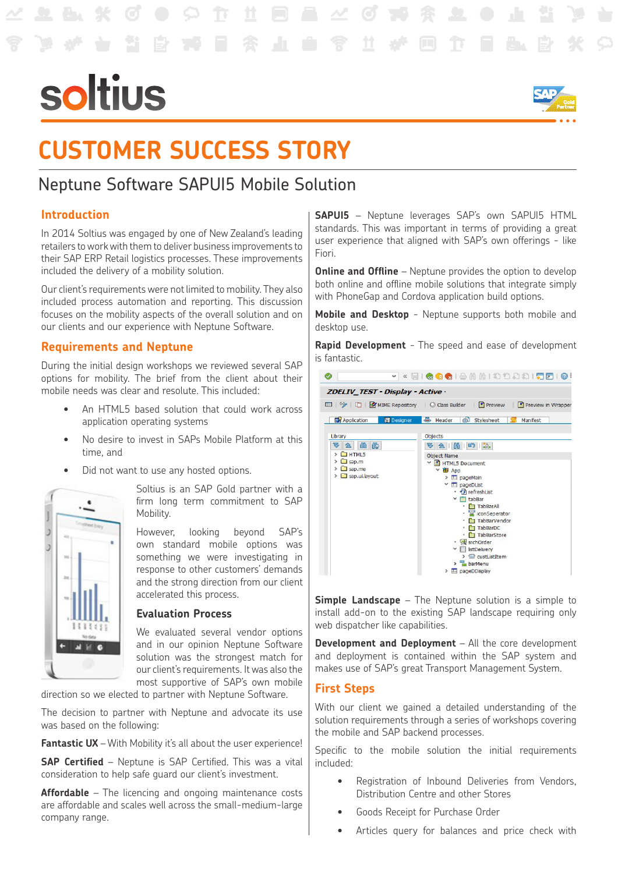# soltius



## **CUSTOMER SUCCESS STORY**

### Neptune Software SAPUI5 Mobile Solution

#### **Introduction**

In 2014 Soltius was engaged by one of New Zealand's leading retailers to work with them to deliver business improvements to their SAP ERP Retail logistics processes. These improvements included the delivery of a mobility solution.

Our client's requirements were not limited to mobility. They also included process automation and reporting. This discussion focuses on the mobility aspects of the overall solution and on our clients and our experience with Neptune Software.

#### **Requirements and Neptune**

During the initial design workshops we reviewed several SAP options for mobility. The brief from the client about their mobile needs was clear and resolute. This included:

- An HTML5 based solution that could work across application operating systems
- No desire to invest in SAPs Mobile Platform at this time, and
- Did not want to use any hosted options.



Soltius is an SAP Gold partner with a firm long term commitment to SAP Mobility.

However, looking beyond SAP's own standard mobile options was something we were investigating in response to other customers' demands and the strong direction from our client accelerated this process.

#### **Evaluation Process**

We evaluated several vendor options and in our opinion Neptune Software solution was the strongest match for our client's requirements. It was also the most supportive of SAP's own mobile

direction so we elected to partner with Neptune Software.

The decision to partner with Neptune and advocate its use was based on the following:

**Fantastic UX** – With Mobility it's all about the user experience!

**SAP Certified** – Neptune is SAP Certified. This was a vital consideration to help safe guard our client's investment.

**Affordable** – The licencing and ongoing maintenance costs are affordable and scales well across the small-medium-large company range.

**SAPUI5** – Neptune leverages SAP's own SAPUI5 HTML standards. This was important in terms of providing a great user experience that aligned with SAP's own offerings - like Fiori.

**Online and Offline** – Neptune provides the option to develop both online and offline mobile solutions that integrate simply with PhoneGap and Cordova application build options.

**Mobile and Desktop** - Neptune supports both mobile and desktop use.

**Rapid Development** - The speed and ease of development is fantastic.



**Simple Landscape** – The Neptune solution is a simple to install add-on to the existing SAP landscape requiring only web dispatcher like capabilities.

**Development and Deployment** – All the core development and deployment is contained within the SAP system and makes use of SAP's great Transport Management System.

#### **First Steps**

With our client we gained a detailed understanding of the solution requirements through a series of workshops covering the mobile and SAP backend processes.

Specific to the mobile solution the initial requirements included:

- Registration of Inbound Deliveries from Vendors, Distribution Centre and other Stores
- Goods Receipt for Purchase Order
- • Articles query for balances and price check with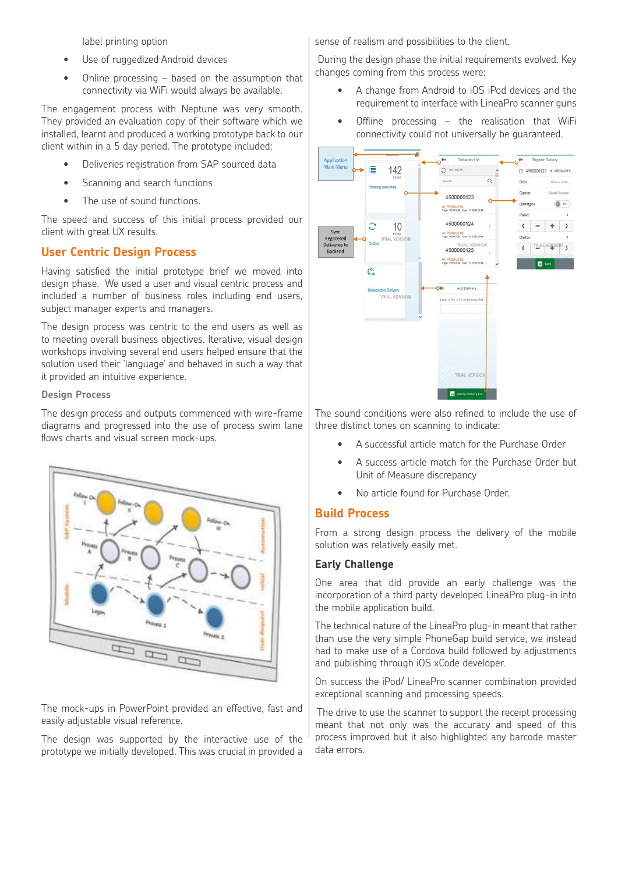label printing option

- Use of ruggedized Android devices
- Online processing  $-$  based on the assumption that connectivity via WiFi would always be available.

The engagement process with Neptune was very smooth. They provided an evaluation copy of their software which we installed, learnt and produced a working prototype back to our client within in a 5 day period. The prototype included:

- Deliveries registration from SAP sourced data
- Scanning and search functions
- The use of sound functions.

The speed and success of this initial process provided our client with great UX results.

#### **User Centric Design Process**

Having satisfied the initial prototype brief we moved into design phase. We used a user and visual centric process and included a number of business roles including end users, subject manager experts and managers.

The design process was centric to the end users as well as to meeting overall business objectives. Iterative, visual design workshops involving several end users helped ensure that the solution used their 'language' and behaved in such a way that it provided an intuitive experience.

#### **Design Process**

The design process and outputs commenced with wire-frame diagrams and progressed into the use of process swim lane flows charts and visual screen mock-ups.



The mock-ups in PowerPoint provided an effective, fast and easily adjustable visual reference.

The design was supported by the interactive use of the prototype we initially developed. This was crucial in provided a

sense of realism and possibilities to the client.

 During the design phase the initial requirements evolved. Key changes coming from this process were:

- A change from Android to iOS iPod devices and the requirement to interface with LineaPro scanner guns
- Offline processing  $-$  the realisation that WiFi connectivity could not universally be guaranteed.



The sound conditions were also refined to include the use of three distinct tones on scanning to indicate:

- A successful article match for the Purchase Order
- A success article match for the Purchase Order but Unit of Measure discrepancy
- No article found for Purchase Order.

#### **Build Process**

From a strong design process the delivery of the mobile solution was relatively easily met.

#### **Early Challenge**

One area that did provide an early challenge was the incorporation of a third party developed LineaPro plug-in into the mobile application build.

The technical nature of the LineaPro plug-in meant that rather than use the very simple PhoneGap build service, we instead had to make use of a Cordova build followed by adjustments and publishing through iOS xCode developer.

On success the iPod/ LineaPro scanner combination provided exceptional scanning and processing speeds.

 The drive to use the scanner to support the receipt processing meant that not only was the accuracy and speed of this process improved but it also highlighted any barcode master data errors.